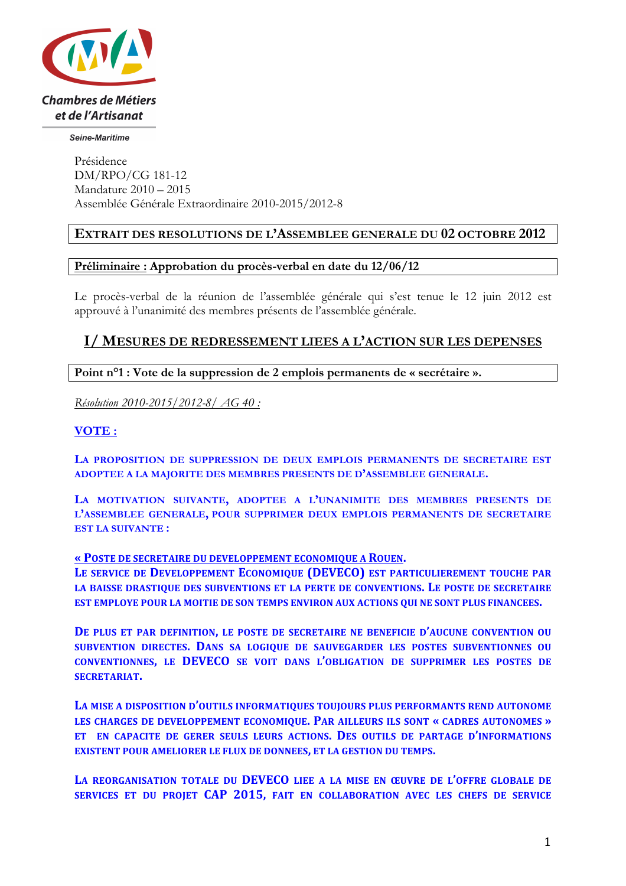

Seine-Maritime

Présidence DM/RPO/CG 181-12 Mandature 2010 – 2015 Assemblée Générale Extraordinaire 2010-2015/2012-8

## **EXTRAIT DES RESOLUTIONS DE L'ASSEMBLEE GENERALE DU 02 OCTOBRE 2012**

#### **Préliminaire : Approbation du procès-verbal en date du 12/06/12**

Le procès-verbal de la réunion de l'assemblée générale qui s'est tenue le 12 juin 2012 est approuvé à l'unanimité des membres présents de l'assemblée générale.

## **I/ MESURES DE REDRESSEMENT LIEES A L'ACTION SUR LES DEPENSES**

**Point n°1 : Vote de la suppression de 2 emplois permanents de « secrétaire ».**

*Résolution 2010-2015/2012-8/ AG 40 :* 

### **VOTE :**

**LA PROPOSITION DE SUPPRESSION DE DEUX EMPLOIS PERMANENTS DE SECRETAIRE EST ADOPTEE A LA MAJORITE DES MEMBRES PRESENTS DE D'ASSEMBLEE GENERALE.**

**LA MOTIVATION SUIVANTE, ADOPTEE A L'UNANIMITE DES MEMBRES PRESENTS DE L'ASSEMBLEE GENERALE, POUR SUPPRIMER DEUX EMPLOIS PERMANENTS DE SECRETAIRE EST LA SUIVANTE :**

#### **« POSTE DE SECRETAIRE DU DEVELOPPEMENT ECONOMIQUE A ROUEN.**

LE SERVICE DE DEVELOPPEMENT ECONOMIQUE (DEVECO) EST PARTICULIEREMENT TOUCHE PAR LA BAISSE DRASTIQUE DES SUBVENTIONS ET LA PERTE DE CONVENTIONS. LE POSTE DE SECRETAIRE **EST EMPLOYE POUR LA MOITIE DE SON TEMPS ENVIRON AUX ACTIONS QUI NE SONT PLUS FINANCEES.** 

**DE PLUS ET PAR DEFINITION, LE POSTE DE SECRETAIRE NE BENEFICIE D'AUCUNE CONVENTION OU SUBVENTION DIRECTES. DANS SA LOGIQUE DE SAUVEGARDER LES POSTES SUBVENTIONNES OU CONVENTIONNES, LE DEVECO SE VOIT DANS L'OBLIGATION DE SUPPRIMER LES POSTES DE SECRETARIAT.**

LA MISE A DISPOSITION D'OUTILS INFORMATIQUES TOUJOURS PLUS PERFORMANTS REND AUTONOME **LES CHARGES DE DEVELOPPEMENT ECONOMIQUE. PAR AILLEURS ILS SONT « CADRES AUTONOMES » ET** EN CAPACITE DE GERER SEULS LEURS ACTIONS. DES OUTILS DE PARTAGE D'INFORMATIONS **EXISTENT POUR AMELIORER LE FLUX DE DONNEES, ET LA GESTION DU TEMPS.** 

LA REORGANISATION TOTALE DU **DEVECO** LIEE A LA MISE EN ŒUVRE DE L'OFFRE GLOBALE DE **SERVICES** ET DU PROJET CAP 2015, FAIT EN COLLABORATION AVEC LES CHEFS DE SERVICE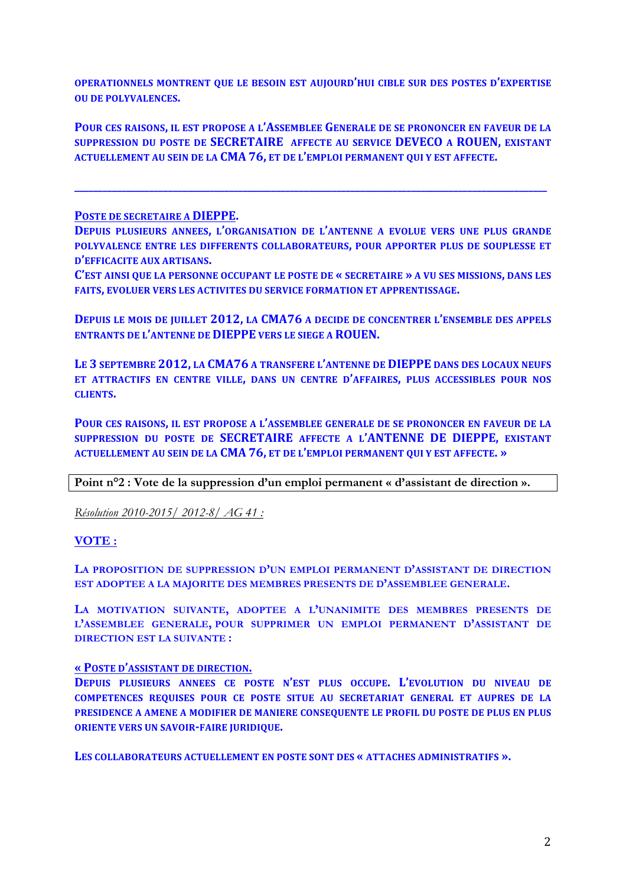**OPERATIONNELS MONTRENT OUE LE BESOIN EST AUJOURD'HUI CIBLE SUR DES POSTES D'EXPERTISE OU DE POLYVALENCES.** 

POUR CES RAISONS, IL EST PROPOSE A L'ASSEMBLEE GENERALE DE SE PRONONCER EN FAVEUR DE LA **SUPPRESSION DU POSTE DE SECRETAIRE AFFECTE AU SERVICE DEVECO A ROUEN, EXISTANT ACTUELLEMENT AU SEIN DE LA CMA 76, ET DE L'EMPLOI PERMANENT QUI Y EST AFFECTE.** 

**\_\_\_\_\_\_\_\_\_\_\_\_\_\_\_\_\_\_\_\_\_\_\_\_\_\_\_\_\_\_\_\_\_\_\_\_\_\_\_\_\_\_\_\_\_\_\_\_\_\_\_\_\_\_\_\_\_\_\_\_\_\_\_\_\_\_\_\_\_\_\_\_\_\_\_\_\_\_\_\_\_\_\_\_\_\_\_\_\_\_\_\_\_\_\_\_\_\_\_\_\_**

**POSTE DE SECRETAIRE A DIEPPE.** 

**DEPUIS PLUSIEURS ANNEES, L'ORGANISATION DE L'ANTENNE A EVOLUE VERS UNE PLUS GRANDE POLYVALENCE ENTRE LES DIFFERENTS COLLABORATEURS, POUR APPORTER PLUS DE SOUPLESSE ET D'EFFICACITE AUX ARTISANS.** 

**C'EST AINSI QUE LA PERSONNE OCCUPANT LE POSTE DE « SECRETAIRE » A VU SES MISSIONS, DANS LES FAITS, EVOLUER VERS LES ACTIVITES DU SERVICE FORMATION ET APPRENTISSAGE.** 

**DEPUIS LE MOIS DE JUILLET 2012, LA CMA76 A DECIDE DE CONCENTRER L'ENSEMBLE DES APPELS ENTRANTS DE L'ANTENNE DE DIEPPE VERS LE SIEGE A ROUEN.** 

LE 3 SEPTEMBRE 2012, LA CMA76 A TRANSFERE L'ANTENNE DE DIEPPE DANS DES LOCAUX NEUFS ET ATTRACTIFS EN CENTRE VILLE, DANS UN CENTRE D'AFFAIRES, PLUS ACCESSIBLES POUR NOS **CLIENTS.**

**POUR CES RAISONS, IL EST PROPOSE A L'ASSEMBLEE GENERALE DE SE PRONONCER EN FAVEUR DE LA SUPPRESSION DU POSTE DE SECRETAIRE AFFECTE A L'ANTENNE DE DIEPPE, EXISTANT ACTUELLEMENT AU SEIN DE LA CMA 76, ET DE L'EMPLOI PERMANENT QUI Y EST AFFECTE. »**

**Point n°2 : Vote de la suppression d'un emploi permanent « d'assistant de direction ».**

*Résolution 2010-2015/ 2012-8/ AG 41 :* 

**VOTE :**

**LA PROPOSITION DE SUPPRESSION D'UN EMPLOI PERMANENT D'ASSISTANT DE DIRECTION EST ADOPTEE A LA MAJORITE DES MEMBRES PRESENTS DE D'ASSEMBLEE GENERALE.**

**LA MOTIVATION SUIVANTE, ADOPTEE A L'UNANIMITE DES MEMBRES PRESENTS DE L'ASSEMBLEE GENERALE, POUR SUPPRIMER UN EMPLOI PERMANENT D'ASSISTANT DE DIRECTION EST LA SUIVANTE :**

### **« POSTE D'ASSISTANT DE DIRECTION.**

**DEPUIS PLUSIEURS ANNEES CE POSTE N'EST PLUS OCCUPE. L'EVOLUTION DU NIVEAU DE COMPETENCES REQUISES POUR CE POSTE SITUE AU SECRETARIAT GENERAL ET AUPRES DE LA PRESIDENCE A AMENE A MODIFIER DE MANIERE CONSEQUENTE LE PROFIL DU POSTE DE PLUS EN PLUS ORIENTE VERS UN SAVOIR-FAIRE JURIDIQUE.** 

**LES COLLABORATEURS ACTUELLEMENT EN POSTE SONT DES « ATTACHES ADMINISTRATIFS ».**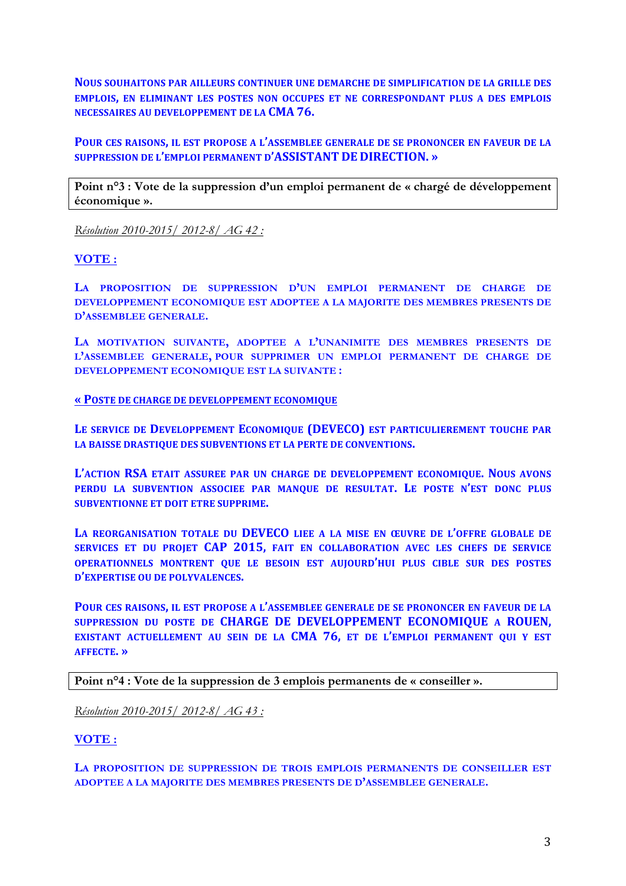**NOUS SOUHAITONS PAR AILLEURS CONTINUER UNE DEMARCHE DE SIMPLIFICATION DE LA GRILLE DES EMPLOIS, EN ELIMINANT LES POSTES NON OCCUPES ET NE CORRESPONDANT PLUS A DES EMPLOIS NECESSAIRES AU DEVELOPPEMENT DE LA CMA 76.** 

**POUR CES RAISONS, IL EST PROPOSE A L'ASSEMBLEE GENERALE DE SE PRONONCER EN FAVEUR DE LA SUPPRESSION DE L'EMPLOI PERMANENT D'ASSISTANT DE DIRECTION. »**

**Point n°3 : Vote de la suppression d'un emploi permanent de « chargé de développement économique ».**

*Résolution 2010-2015/ 2012-8/ AG 42 :* 

### **VOTE :**

**LA PROPOSITION DE SUPPRESSION D'UN EMPLOI PERMANENT DE CHARGE DE DEVELOPPEMENT ECONOMIQUE EST ADOPTEE A LA MAJORITE DES MEMBRES PRESENTS DE D'ASSEMBLEE GENERALE.**

**LA MOTIVATION SUIVANTE, ADOPTEE A L'UNANIMITE DES MEMBRES PRESENTS DE L'ASSEMBLEE GENERALE, POUR SUPPRIMER UN EMPLOI PERMANENT DE CHARGE DE DEVELOPPEMENT ECONOMIQUE EST LA SUIVANTE :**

#### **« POSTE DE CHARGE DE DEVELOPPEMENT ECONOMIQUE**

LE SERVICE DE DEVELOPPEMENT ECONOMIQUE (DEVECO) EST PARTICULIEREMENT TOUCHE PAR LA BAISSE DRASTIQUE DES SUBVENTIONS ET LA PERTE DE CONVENTIONS.

L'ACTION RSA ETAIT ASSUREE PAR UN CHARGE DE DEVELOPPEMENT ECONOMIQUE. NOUS AVONS PERDU LA SUBVENTION ASSOCIEE PAR MANQUE DE RESULTAT. LE POSTE N'EST DONC PLUS **SUBVENTIONNE ET DOIT ETRE SUPPRIME.** 

LA REORGANISATION TOTALE DU **DEVECO** LIEE A LA MISE EN ŒUVRE DE L'OFFRE GLOBALE DE **SERVICES** ET DU PROJET CAP 2015, FAIT EN COLLABORATION AVEC LES CHEFS DE SERVICE **OPERATIONNELS MONTRENT OUE LE BESOIN EST AUJOURD'HUI PLUS CIBLE SUR DES POSTES D'EXPERTISE OU DE POLYVALENCES.** 

**POUR CES RAISONS, IL EST PROPOSE A L'ASSEMBLEE GENERALE DE SE PRONONCER EN FAVEUR DE LA SUPPRESSION DU POSTE DE CHARGE DE DEVELOPPEMENT ECONOMIQUE A ROUEN, EXISTANT ACTUELLEMENT AU SEIN DE LA CMA 76, ET DE L'EMPLOI PERMANENT QUI Y EST AFFECTE. »**

**Point n°4 : Vote de la suppression de 3 emplois permanents de « conseiller ».**

*Résolution 2010-2015/ 2012-8/ AG 43 :* 

**VOTE :**

**LA PROPOSITION DE SUPPRESSION DE TROIS EMPLOIS PERMANENTS DE CONSEILLER EST ADOPTEE A LA MAJORITE DES MEMBRES PRESENTS DE D'ASSEMBLEE GENERALE.**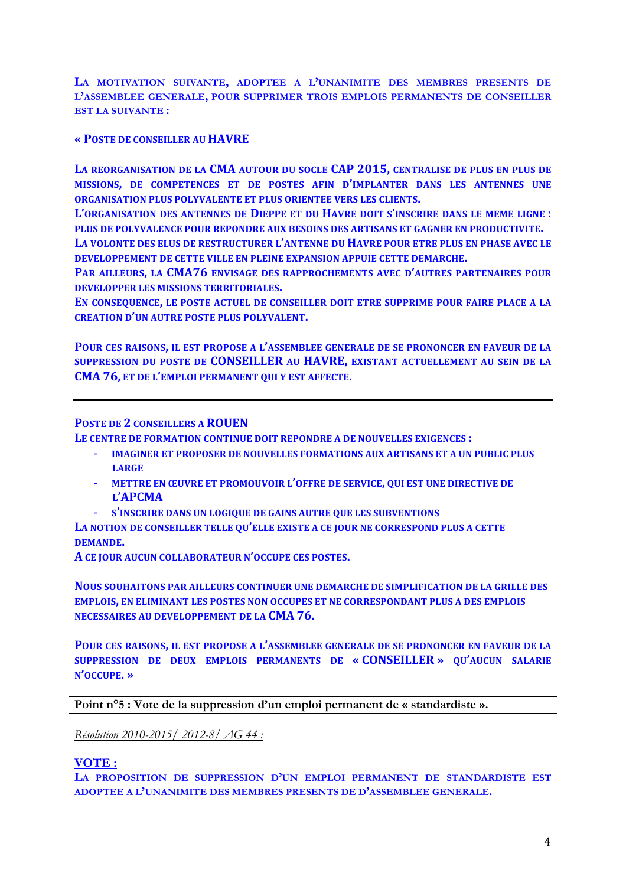**LA MOTIVATION SUIVANTE, ADOPTEE A L'UNANIMITE DES MEMBRES PRESENTS DE L'ASSEMBLEE GENERALE, POUR SUPPRIMER TROIS EMPLOIS PERMANENTS DE CONSEILLER EST LA SUIVANTE :**

#### **« POSTE DE CONSEILLER AU HAVRE**

LA REORGANISATION DE LA CMA AUTOUR DU SOCLE CAP 2015, CENTRALISE DE PLUS EN PLUS DE **MISSIONS, DE COMPETENCES ET DE POSTES AFIN D'IMPLANTER DANS LES ANTENNES UNE ORGANISATION PLUS POLYVALENTE ET PLUS ORIENTEE VERS LES CLIENTS.** 

L'ORGANISATION DES ANTENNES DE DIEPPE ET DU HAVRE DOIT S'INSCRIRE DANS LE MEME LIGNE : **PLUS DE POLYVALENCE POUR REPONDRE AUX BESOINS DES ARTISANS ET GAGNER EN PRODUCTIVITE.** 

LA VOLONTE DES ELUS DE RESTRUCTURER L'ANTENNE DU HAVRE POUR ETRE PLUS EN PHASE AVEC LE **DEVELOPPEMENT DE CETTE VILLE EN PLEINE EXPANSION APPUIE CETTE DEMARCHE.** 

**PAR AILLEURS, LA CMA76 ENVISAGE DES RAPPROCHEMENTS AVEC D'AUTRES PARTENAIRES POUR DEVELOPPER LES MISSIONS TERRITORIALES.** 

EN CONSEQUENCE, LE POSTE ACTUEL DE CONSEILLER DOIT ETRE SUPPRIME POUR FAIRE PLACE A LA **CREATION D'UN AUTRE POSTE PLUS POLYVALENT.** 

**POUR CES RAISONS, IL EST PROPOSE A L'ASSEMBLEE GENERALE DE SE PRONONCER EN FAVEUR DE LA SUPPRESSION DU POSTE DE CONSEILLER AU HAVRE, EXISTANT ACTUELLEMENT AU SEIN DE LA CMA 76, ET DE L'EMPLOI PERMANENT QUI Y EST AFFECTE.**

#### **POSTE DE 2 CONSEILLERS A ROUEN**

LE CENTRE DE FORMATION CONTINUE DOIT REPONDRE A DE NOUVELLES EXIGENCES :

- **IMAGINER ET PROPOSER DE NOUVELLES FORMATIONS AUX ARTISANS ET A UN PUBLIC PLUS LARGE**
- **METTRE EN ŒUVRE ET PROMOUVOIR L'OFFRE DE SERVICE, QUI EST UNE DIRECTIVE DE** L'APCMA
- **S'INSCRIRE DANS UN LOGIQUE DE GAINS AUTRE QUE LES SUBVENTIONS**

LA NOTION DE CONSEILLER TELLE OU'ELLE EXISTE A CE JOUR NE CORRESPOND PLUS A CETTE **DEMANDE.**

A CE JOUR AUCUN COLLABORATEUR N'OCCUPE CES POSTES.

**NOUS SOUHAITONS PAR AILLEURS CONTINUER UNE DEMARCHE DE SIMPLIFICATION DE LA GRILLE DES EMPLOIS, EN ELIMINANT LES POSTES NON OCCUPES ET NE CORRESPONDANT PLUS A DES EMPLOIS NECESSAIRES AU DEVELOPPEMENT DE LA CMA 76.** 

**POUR CES RAISONS, IL EST PROPOSE A L'ASSEMBLEE GENERALE DE SE PRONONCER EN FAVEUR DE LA SUPPRESSION DE DEUX EMPLOIS PERMANENTS DE « CONSEILLER » QU'AUCUN SALARIE N'OCCUPE. »**

**Point n°5 : Vote de la suppression d'un emploi permanent de « standardiste ».**

*Résolution 2010-2015/ 2012-8/ AG 44 :* 

#### **VOTE :**

**LA PROPOSITION DE SUPPRESSION D'UN EMPLOI PERMANENT DE STANDARDISTE EST ADOPTEE A L'UNANIMITE DES MEMBRES PRESENTS DE D'ASSEMBLEE GENERALE.**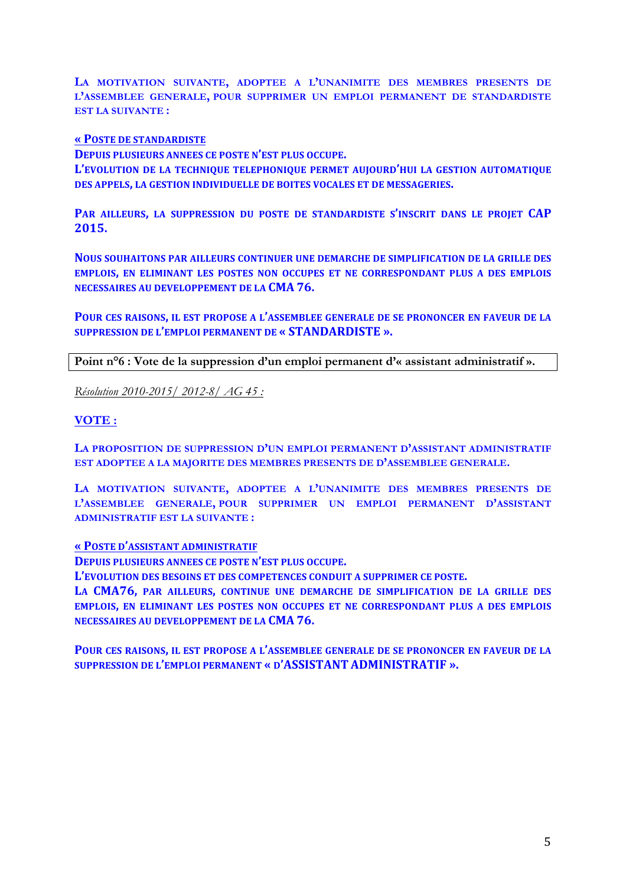**LA MOTIVATION SUIVANTE, ADOPTEE A L'UNANIMITE DES MEMBRES PRESENTS DE L'ASSEMBLEE GENERALE, POUR SUPPRIMER UN EMPLOI PERMANENT DE STANDARDISTE EST LA SUIVANTE :**

#### **« POSTE DE STANDARDISTE**

**DEPUIS PLUSIEURS ANNEES CE POSTE N'EST PLUS OCCUPE.** L'EVOLUTION DE LA TECHNIQUE TELEPHONIQUE PERMET AUJOURD'HUI LA GESTION AUTOMATIQUE **DES APPELS, LA GESTION INDIVIDUELLE DE BOITES VOCALES ET DE MESSAGERIES.** 

**PAR AILLEURS, LA SUPPRESSION DU POSTE DE STANDARDISTE S'INSCRIT DANS LE PROJET CAP 2015.**

**NOUS SOUHAITONS PAR AILLEURS CONTINUER UNE DEMARCHE DE SIMPLIFICATION DE LA GRILLE DES EMPLOIS, EN ELIMINANT LES POSTES NON OCCUPES ET NE CORRESPONDANT PLUS A DES EMPLOIS NECESSAIRES AU DEVELOPPEMENT DE LA CMA 76.** 

**POUR CES RAISONS, IL EST PROPOSE A L'ASSEMBLEE GENERALE DE SE PRONONCER EN FAVEUR DE LA SUPPRESSION DE L'EMPLOI PERMANENT DE « STANDARDISTE ».**

**Point n°6 : Vote de la suppression d'un emploi permanent d'« assistant administratif ».**

*Résolution 2010-2015/ 2012-8/ AG 45 :* 

#### **VOTE :**

**LA PROPOSITION DE SUPPRESSION D'UN EMPLOI PERMANENT D'ASSISTANT ADMINISTRATIF EST ADOPTEE A LA MAJORITE DES MEMBRES PRESENTS DE D'ASSEMBLEE GENERALE.**

**LA MOTIVATION SUIVANTE, ADOPTEE A L'UNANIMITE DES MEMBRES PRESENTS DE L'ASSEMBLEE GENERALE, POUR SUPPRIMER UN EMPLOI PERMANENT D'ASSISTANT ADMINISTRATIF EST LA SUIVANTE :**

#### **« POSTE D'ASSISTANT ADMINISTRATIF**

**DEPUIS PLUSIEURS ANNEES CE POSTE N'EST PLUS OCCUPE.** 

**L'EVOLUTION DES BESOINS ET DES COMPETENCES CONDUIT A SUPPRIMER CE POSTE.**

LA **CMA76**, PAR AILLEURS, CONTINUE UNE DEMARCHE DE SIMPLIFICATION DE LA GRILLE DES **EMPLOIS, EN ELIMINANT LES POSTES NON OCCUPES ET NE CORRESPONDANT PLUS A DES EMPLOIS NECESSAIRES AU DEVELOPPEMENT DE LA CMA 76.** 

POUR CES RAISONS, IL EST PROPOSE A L'ASSEMBLEE GENERALE DE SE PRONONCER EN FAVEUR DE LA **SUPPRESSION DE L'EMPLOI PERMANENT « D'ASSISTANT ADMINISTRATIF ».**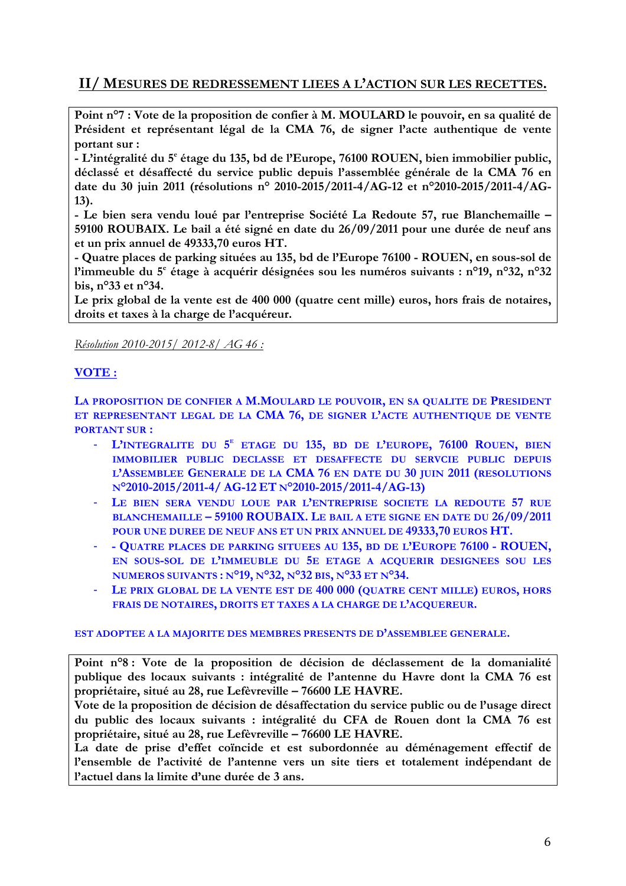# **II/ MESURES DE REDRESSEMENT LIEES A L'ACTION SUR LES RECETTES.**

**Point n°7 : Vote de la proposition de confier à M. MOULARD le pouvoir, en sa qualité de Président et représentant légal de la CMA 76, de signer l'acte authentique de vente portant sur :** 

**- L'intégralité du 5e étage du 135, bd de l'Europe, 76100 ROUEN, bien immobilier public, déclassé et désaffecté du service public depuis l'assemblée générale de la CMA 76 en date du 30 juin 2011 (résolutions n° 2010-2015/2011-4/AG-12 et n°2010-2015/2011-4/AG-13).**

**- Le bien sera vendu loué par l'entreprise Société La Redoute 57, rue Blanchemaille – 59100 ROUBAIX. Le bail a été signé en date du 26/09/2011 pour une durée de neuf ans et un prix annuel de 49333,70 euros HT.** 

**- Quatre places de parking situées au 135, bd de l'Europe 76100 - ROUEN, en sous-sol de l'immeuble du 5e étage à acquérir désignées sou les numéros suivants : n°19, n°32, n°32 bis, n°33 et n°34.**

**Le prix global de la vente est de 400 000 (quatre cent mille) euros, hors frais de notaires, droits et taxes à la charge de l'acquéreur.**

*Résolution 2010-2015/ 2012-8/ AG 46 :* 

## **VOTE :**

**LA PROPOSITION DE CONFIER A M.MOULARD LE POUVOIR, EN SA QUALITE DE PRESIDENT ET REPRESENTANT LEGAL DE LA CMA 76, DE SIGNER L'ACTE AUTHENTIQUE DE VENTE PORTANT SUR :**

- **L'INTEGRALITE DU 5E ETAGE DU 135, BD DE L'EUROPE, 76100 ROUEN, BIEN IMMOBILIER PUBLIC DECLASSE ET DESAFFECTE DU SERVCIE PUBLIC DEPUIS L'ASSEMBLEE GENERALE DE LA CMA 76 EN DATE DU 30 JUIN 2011 (RESOLUTIONS N°2010-2015/2011-4/ AG-12 ET N°2010-2015/2011-4/AG-13)**
- **LE BIEN SERA VENDU LOUE PAR L'ENTREPRISE SOCIETE LA REDOUTE 57 RUE BLANCHEMAILLE – 59100 ROUBAIX. LE BAIL A ETE SIGNE EN DATE DU 26/09/2011 POUR UNE DUREE DE NEUF ANS ET UN PRIX ANNUEL DE 49333,70 EUROS HT.**
- **- QUATRE PLACES DE PARKING SITUEES AU 135, BD DE L'EUROPE 76100 - ROUEN, EN SOUS-SOL DE L'IMMEUBLE DU 5E ETAGE A ACQUERIR DESIGNEES SOU LES NUMEROS SUIVANTS : N°19, N°32, N°32 BIS, N°33 ET N°34.**
- **LE PRIX GLOBAL DE LA VENTE EST DE 400 000 (QUATRE CENT MILLE) EUROS, HORS FRAIS DE NOTAIRES, DROITS ET TAXES A LA CHARGE DE L'ACQUEREUR.**

#### **EST ADOPTEE A LA MAJORITE DES MEMBRES PRESENTS DE D'ASSEMBLEE GENERALE.**

**Point n°8 : Vote de la proposition de décision de déclassement de la domanialité publique des locaux suivants : intégralité de l'antenne du Havre dont la CMA 76 est propriétaire, situé au 28, rue Lefèvreville – 76600 LE HAVRE.** 

**Vote de la proposition de décision de désaffectation du service public ou de l'usage direct du public des locaux suivants : intégralité du CFA de Rouen dont la CMA 76 est propriétaire, situé au 28, rue Lefèvreville – 76600 LE HAVRE.** 

**La date de prise d'effet coïncide et est subordonnée au déménagement effectif de l'ensemble de l'activité de l'antenne vers un site tiers et totalement indépendant de l'actuel dans la limite d'une durée de 3 ans.**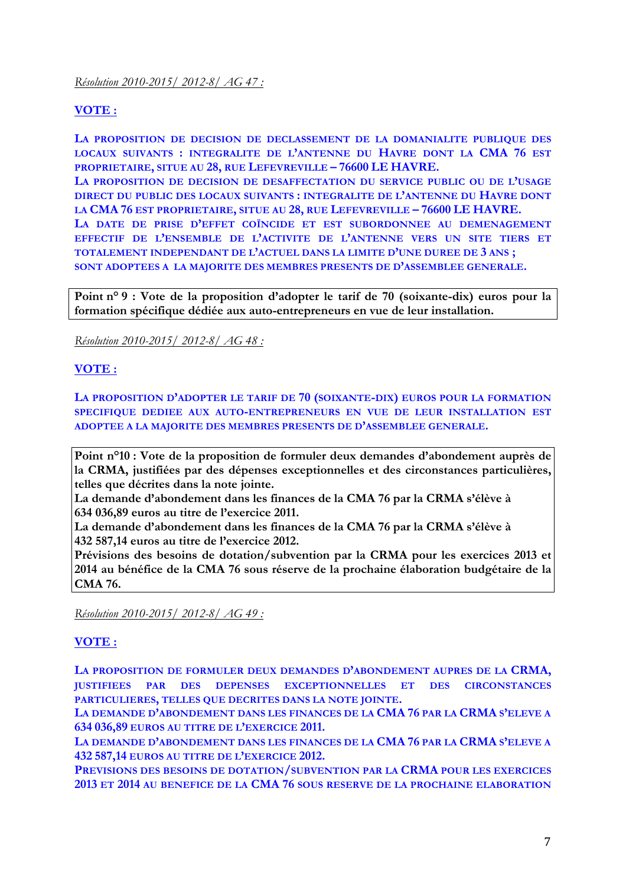## **VOTE :**

**LA PROPOSITION DE DECISION DE DECLASSEMENT DE LA DOMANIALITE PUBLIQUE DES LOCAUX SUIVANTS : INTEGRALITE DE L'ANTENNE DU HAVRE DONT LA CMA 76 EST PROPRIETAIRE, SITUE AU 28, RUE LEFEVREVILLE – 76600 LE HAVRE.** 

**LA PROPOSITION DE DECISION DE DESAFFECTATION DU SERVICE PUBLIC OU DE L'USAGE DIRECT DU PUBLIC DES LOCAUX SUIVANTS : INTEGRALITE DE L'ANTENNE DU HAVRE DONT LA CMA 76 EST PROPRIETAIRE, SITUE AU 28, RUE LEFEVREVILLE – 76600 LE HAVRE.**

**LA DATE DE PRISE D'EFFET COÏNCIDE ET EST SUBORDONNEE AU DEMENAGEMENT EFFECTIF DE L'ENSEMBLE DE L'ACTIVITE DE L'ANTENNE VERS UN SITE TIERS ET TOTALEMENT INDEPENDANT DE L'ACTUEL DANS LA LIMITE D'UNE DUREE DE 3 ANS ; SONT ADOPTEES A LA MAJORITE DES MEMBRES PRESENTS DE D'ASSEMBLEE GENERALE.**

**Point n° 9 : Vote de la proposition d'adopter le tarif de 70 (soixante-dix) euros pour la formation spécifique dédiée aux auto-entrepreneurs en vue de leur installation.**

### *Résolution 2010-2015/ 2012-8/ AG 48 :*

## **VOTE :**

**LA PROPOSITION D'ADOPTER LE TARIF DE 70 (SOIXANTE-DIX) EUROS POUR LA FORMATION SPECIFIQUE DEDIEE AUX AUTO-ENTREPRENEURS EN VUE DE LEUR INSTALLATION EST ADOPTEE A LA MAJORITE DES MEMBRES PRESENTS DE D'ASSEMBLEE GENERALE.**

**Point n°10 : Vote de la proposition de formuler deux demandes d'abondement auprès de la CRMA, justifiées par des dépenses exceptionnelles et des circonstances particulières, telles que décrites dans la note jointe.**

**La demande d'abondement dans les finances de la CMA 76 par la CRMA s'élève à 634 036,89 euros au titre de l'exercice 2011.**

**La demande d'abondement dans les finances de la CMA 76 par la CRMA s'élève à 432 587,14 euros au titre de l'exercice 2012.**

**Prévisions des besoins de dotation/subvention par la CRMA pour les exercices 2013 et 2014 au bénéfice de la CMA 76 sous réserve de la prochaine élaboration budgétaire de la CMA 76.**

*Résolution 2010-2015/ 2012-8/ AG 49 :* 

### **VOTE :**

**LA PROPOSITION DE FORMULER DEUX DEMANDES D'ABONDEMENT AUPRES DE LA CRMA, JUSTIFIEES PAR DES DEPENSES EXCEPTIONNELLES ET DES CIRCONSTANCES PARTICULIERES, TELLES QUE DECRITES DANS LA NOTE JOINTE.**

**LA DEMANDE D'ABONDEMENT DANS LES FINANCES DE LA CMA 76 PAR LA CRMA S'ELEVE A 634 036,89 EUROS AU TITRE DE L'EXERCICE 2011.**

**LA DEMANDE D'ABONDEMENT DANS LES FINANCES DE LA CMA 76 PAR LA CRMA S'ELEVE A 432 587,14 EUROS AU TITRE DE L'EXERCICE 2012.**

**PREVISIONS DES BESOINS DE DOTATION/SUBVENTION PAR LA CRMA POUR LES EXERCICES 2013 ET 2014 AU BENEFICE DE LA CMA 76 SOUS RESERVE DE LA PROCHAINE ELABORATION**